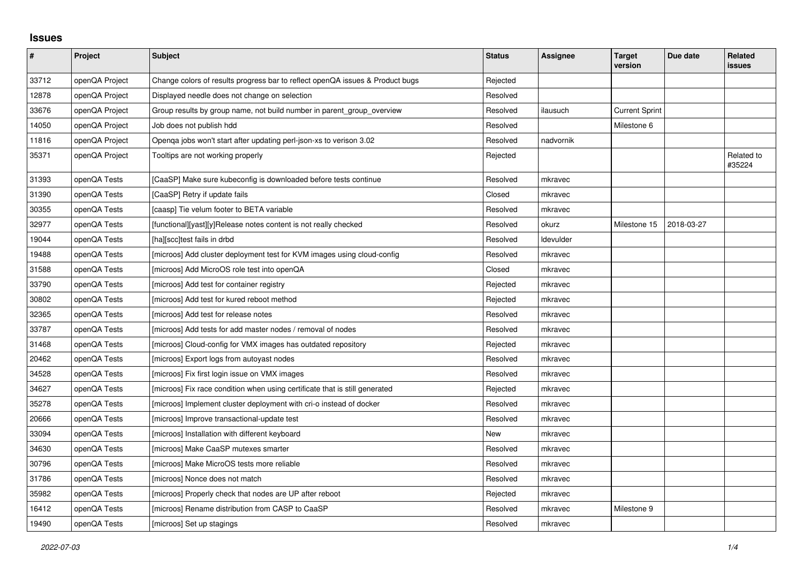## **Issues**

| $\vert$ # | Project        | <b>Subject</b>                                                                | <b>Status</b> | Assignee         | <b>Target</b><br>version | Due date   | <b>Related</b><br>issues |
|-----------|----------------|-------------------------------------------------------------------------------|---------------|------------------|--------------------------|------------|--------------------------|
| 33712     | openQA Project | Change colors of results progress bar to reflect openQA issues & Product bugs | Rejected      |                  |                          |            |                          |
| 12878     | openQA Project | Displayed needle does not change on selection                                 | Resolved      |                  |                          |            |                          |
| 33676     | openQA Project | Group results by group name, not build number in parent_group_overview        | Resolved      | ilausuch         | <b>Current Sprint</b>    |            |                          |
| 14050     | openQA Project | Job does not publish hdd                                                      | Resolved      |                  | Milestone 6              |            |                          |
| 11816     | openQA Project | Openga jobs won't start after updating perl-json-xs to verison 3.02           | Resolved      | nadvornik        |                          |            |                          |
| 35371     | openQA Project | Tooltips are not working properly                                             | Rejected      |                  |                          |            | Related to<br>#35224     |
| 31393     | openQA Tests   | [CaaSP] Make sure kubeconfig is downloaded before tests continue              | Resolved      | mkravec          |                          |            |                          |
| 31390     | openQA Tests   | [CaaSP] Retry if update fails                                                 | Closed        | mkravec          |                          |            |                          |
| 30355     | openQA Tests   | [caasp] Tie velum footer to BETA variable                                     | Resolved      | mkravec          |                          |            |                          |
| 32977     | openQA Tests   | [functional][yast][y]Release notes content is not really checked              | Resolved      | okurz            | Milestone 15             | 2018-03-27 |                          |
| 19044     | openQA Tests   | [ha][scc]test fails in drbd                                                   | Resolved      | <b>Idevulder</b> |                          |            |                          |
| 19488     | openQA Tests   | [microos] Add cluster deployment test for KVM images using cloud-config       | Resolved      | mkravec          |                          |            |                          |
| 31588     | openQA Tests   | [microos] Add MicroOS role test into openQA                                   | Closed        | mkravec          |                          |            |                          |
| 33790     | openQA Tests   | [microos] Add test for container registry                                     | Rejected      | mkravec          |                          |            |                          |
| 30802     | openQA Tests   | [microos] Add test for kured reboot method                                    | Rejected      | mkravec          |                          |            |                          |
| 32365     | openQA Tests   | [microos] Add test for release notes                                          | Resolved      | mkravec          |                          |            |                          |
| 33787     | openQA Tests   | [microos] Add tests for add master nodes / removal of nodes                   | Resolved      | mkravec          |                          |            |                          |
| 31468     | openQA Tests   | [microos] Cloud-config for VMX images has outdated repository                 | Rejected      | mkravec          |                          |            |                          |
| 20462     | openQA Tests   | [microos] Export logs from autoyast nodes                                     | Resolved      | mkravec          |                          |            |                          |
| 34528     | openQA Tests   | [microos] Fix first login issue on VMX images                                 | Resolved      | mkravec          |                          |            |                          |
| 34627     | openQA Tests   | [microos] Fix race condition when using certificate that is still generated   | Rejected      | mkravec          |                          |            |                          |
| 35278     | openQA Tests   | [microos] Implement cluster deployment with cri-o instead of docker           | Resolved      | mkravec          |                          |            |                          |
| 20666     | openQA Tests   | [microos] Improve transactional-update test                                   | Resolved      | mkravec          |                          |            |                          |
| 33094     | openQA Tests   | [microos] Installation with different keyboard                                | New           | mkravec          |                          |            |                          |
| 34630     | openQA Tests   | [microos] Make CaaSP mutexes smarter                                          | Resolved      | mkravec          |                          |            |                          |
| 30796     | openQA Tests   | [microos] Make MicroOS tests more reliable                                    | Resolved      | mkravec          |                          |            |                          |
| 31786     | openQA Tests   | [microos] Nonce does not match                                                | Resolved      | mkravec          |                          |            |                          |
| 35982     | openQA Tests   | [microos] Properly check that nodes are UP after reboot                       | Rejected      | mkravec          |                          |            |                          |
| 16412     | openQA Tests   | [microos] Rename distribution from CASP to CaaSP                              | Resolved      | mkravec          | Milestone 9              |            |                          |
| 19490     | openQA Tests   | [microos] Set up stagings                                                     | Resolved      | mkravec          |                          |            |                          |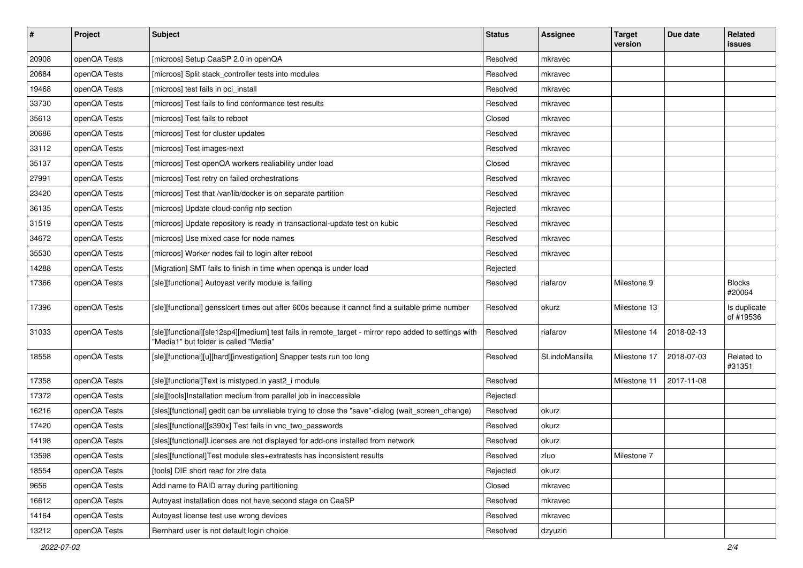| #     | Project      | <b>Subject</b>                                                                                                                                | <b>Status</b> | <b>Assignee</b> | <b>Target</b><br>version | Due date   | Related<br>issues         |
|-------|--------------|-----------------------------------------------------------------------------------------------------------------------------------------------|---------------|-----------------|--------------------------|------------|---------------------------|
| 20908 | openQA Tests | [microos] Setup CaaSP 2.0 in openQA                                                                                                           | Resolved      | mkravec         |                          |            |                           |
| 20684 | openQA Tests | [microos] Split stack controller tests into modules                                                                                           | Resolved      | mkravec         |                          |            |                           |
| 19468 | openQA Tests | [microos] test fails in oci install                                                                                                           | Resolved      | mkravec         |                          |            |                           |
| 33730 | openQA Tests | [microos] Test fails to find conformance test results                                                                                         | Resolved      | mkravec         |                          |            |                           |
| 35613 | openQA Tests | [microos] Test fails to reboot                                                                                                                | Closed        | mkravec         |                          |            |                           |
| 20686 | openQA Tests | [microos] Test for cluster updates                                                                                                            | Resolved      | mkravec         |                          |            |                           |
| 33112 | openQA Tests | [microos] Test images-next                                                                                                                    | Resolved      | mkravec         |                          |            |                           |
| 35137 | openQA Tests | [microos] Test openQA workers realiability under load                                                                                         | Closed        | mkravec         |                          |            |                           |
| 27991 | openQA Tests | [microos] Test retry on failed orchestrations                                                                                                 | Resolved      | mkravec         |                          |            |                           |
| 23420 | openQA Tests | [microos] Test that /var/lib/docker is on separate partition                                                                                  | Resolved      | mkravec         |                          |            |                           |
| 36135 | openQA Tests | [microos] Update cloud-config ntp section                                                                                                     | Rejected      | mkravec         |                          |            |                           |
| 31519 | openQA Tests | [microos] Update repository is ready in transactional-update test on kubic                                                                    | Resolved      | mkravec         |                          |            |                           |
| 34672 | openQA Tests | [microos] Use mixed case for node names                                                                                                       | Resolved      | mkravec         |                          |            |                           |
| 35530 | openQA Tests | [microos] Worker nodes fail to login after reboot                                                                                             | Resolved      | mkravec         |                          |            |                           |
| 14288 | openQA Tests | [Migration] SMT fails to finish in time when openga is under load                                                                             | Rejected      |                 |                          |            |                           |
| 17366 | openQA Tests | [sle][functional] Autoyast verify module is failing                                                                                           | Resolved      | riafarov        | Milestone 9              |            | <b>Blocks</b><br>#20064   |
| 17396 | openQA Tests | [sle][functional] gensslcert times out after 600s because it cannot find a suitable prime number                                              | Resolved      | okurz           | Milestone 13             |            | Is duplicate<br>of #19536 |
| 31033 | openQA Tests | [sle][functional][sle12sp4][medium] test fails in remote_target - mirror repo added to settings with<br>"Media1" but folder is called "Media" | Resolved      | riafarov        | Milestone 14             | 2018-02-13 |                           |
| 18558 | openQA Tests | [sle][functional][u][hard][investigation] Snapper tests run too long                                                                          | Resolved      | SLindoMansilla  | Milestone 17             | 2018-07-03 | Related to<br>#31351      |
| 17358 | openQA Tests | [sle][functional]Text is mistyped in yast2_i module                                                                                           | Resolved      |                 | Milestone 11             | 2017-11-08 |                           |
| 17372 | openQA Tests | [sle][tools]Installation medium from parallel job in inaccessible                                                                             | Rejected      |                 |                          |            |                           |
| 16216 | openQA Tests | [sles][functional] gedit can be unreliable trying to close the "save"-dialog (wait_screen_change)                                             | Resolved      | okurz           |                          |            |                           |
| 17420 | openQA Tests | [sles][functional][s390x] Test fails in vnc_two_passwords                                                                                     | Resolved      | okurz           |                          |            |                           |
| 14198 | openQA Tests | [sles][functional]Licenses are not displayed for add-ons installed from network                                                               | Resolved      | okurz           |                          |            |                           |
| 13598 | openQA Tests | [sles][functional]Test module sles+extratests has inconsistent results                                                                        | Resolved      | zluo            | Milestone 7              |            |                           |
| 18554 | openQA Tests | [tools] DIE short read for zire data                                                                                                          | Rejected      | okurz           |                          |            |                           |
| 9656  | openQA Tests | Add name to RAID array during partitioning                                                                                                    | Closed        | mkravec         |                          |            |                           |
| 16612 | openQA Tests | Autoyast installation does not have second stage on CaaSP                                                                                     | Resolved      | mkravec         |                          |            |                           |
| 14164 | openQA Tests | Autoyast license test use wrong devices                                                                                                       | Resolved      | mkravec         |                          |            |                           |
| 13212 | openQA Tests | Bernhard user is not default login choice                                                                                                     | Resolved      | dzyuzin         |                          |            |                           |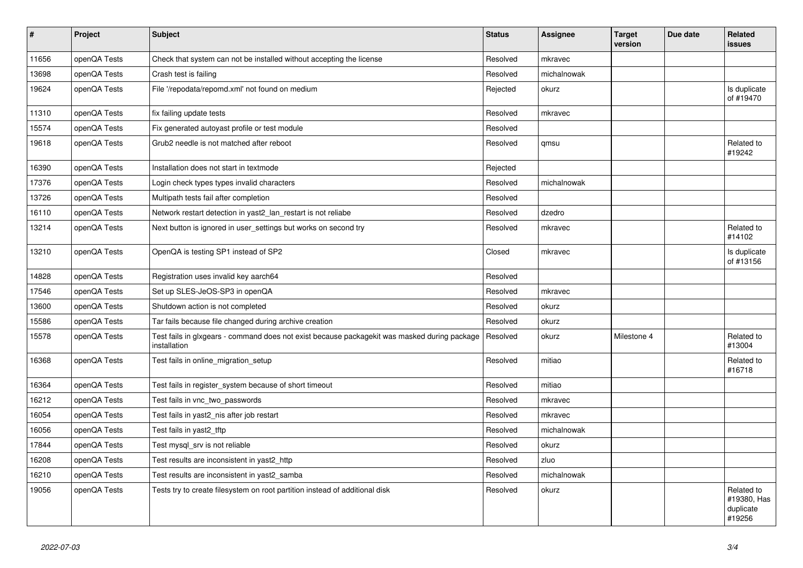| $\vert$ # | Project      | <b>Subject</b>                                                                                               | <b>Status</b> | <b>Assignee</b> | <b>Target</b><br>version | Due date | Related<br>issues                                |
|-----------|--------------|--------------------------------------------------------------------------------------------------------------|---------------|-----------------|--------------------------|----------|--------------------------------------------------|
| 11656     | openQA Tests | Check that system can not be installed without accepting the license                                         | Resolved      | mkravec         |                          |          |                                                  |
| 13698     | openQA Tests | Crash test is failing                                                                                        | Resolved      | michalnowak     |                          |          |                                                  |
| 19624     | openQA Tests | File '/repodata/repomd.xml' not found on medium                                                              | Rejected      | okurz           |                          |          | Is duplicate<br>of #19470                        |
| 11310     | openQA Tests | fix failing update tests                                                                                     | Resolved      | mkravec         |                          |          |                                                  |
| 15574     | openQA Tests | Fix generated autoyast profile or test module                                                                | Resolved      |                 |                          |          |                                                  |
| 19618     | openQA Tests | Grub2 needle is not matched after reboot                                                                     | Resolved      | qmsu            |                          |          | Related to<br>#19242                             |
| 16390     | openQA Tests | Installation does not start in textmode                                                                      | Rejected      |                 |                          |          |                                                  |
| 17376     | openQA Tests | Login check types types invalid characters                                                                   | Resolved      | michalnowak     |                          |          |                                                  |
| 13726     | openQA Tests | Multipath tests fail after completion                                                                        | Resolved      |                 |                          |          |                                                  |
| 16110     | openQA Tests | Network restart detection in yast2_lan_restart is not reliabe                                                | Resolved      | dzedro          |                          |          |                                                  |
| 13214     | openQA Tests | Next button is ignored in user_settings but works on second try                                              | Resolved      | mkravec         |                          |          | Related to<br>#14102                             |
| 13210     | openQA Tests | OpenQA is testing SP1 instead of SP2                                                                         | Closed        | mkravec         |                          |          | Is duplicate<br>of #13156                        |
| 14828     | openQA Tests | Registration uses invalid key aarch64                                                                        | Resolved      |                 |                          |          |                                                  |
| 17546     | openQA Tests | Set up SLES-JeOS-SP3 in openQA                                                                               | Resolved      | mkravec         |                          |          |                                                  |
| 13600     | openQA Tests | Shutdown action is not completed                                                                             | Resolved      | okurz           |                          |          |                                                  |
| 15586     | openQA Tests | Tar fails because file changed during archive creation                                                       | Resolved      | okurz           |                          |          |                                                  |
| 15578     | openQA Tests | Test fails in glxgears - command does not exist because packagekit was masked during package<br>installation | Resolved      | okurz           | Milestone 4              |          | Related to<br>#13004                             |
| 16368     | openQA Tests | Test fails in online migration setup                                                                         | Resolved      | mitiao          |                          |          | Related to<br>#16718                             |
| 16364     | openQA Tests | Test fails in register_system because of short timeout                                                       | Resolved      | mitiao          |                          |          |                                                  |
| 16212     | openQA Tests | Test fails in vnc_two_passwords                                                                              | Resolved      | mkravec         |                          |          |                                                  |
| 16054     | openQA Tests | Test fails in yast2_nis after job restart                                                                    | Resolved      | mkravec         |                          |          |                                                  |
| 16056     | openQA Tests | Test fails in yast2_tftp                                                                                     | Resolved      | michalnowak     |                          |          |                                                  |
| 17844     | openQA Tests | Test mysql srv is not reliable                                                                               | Resolved      | okurz           |                          |          |                                                  |
| 16208     | openQA Tests | Test results are inconsistent in yast2 http                                                                  | Resolved      | zluo            |                          |          |                                                  |
| 16210     | openQA Tests | Test results are inconsistent in yast2 samba                                                                 | Resolved      | michalnowak     |                          |          |                                                  |
| 19056     | openQA Tests | Tests try to create filesystem on root partition instead of additional disk                                  | Resolved      | okurz           |                          |          | Related to<br>#19380, Has<br>duplicate<br>#19256 |